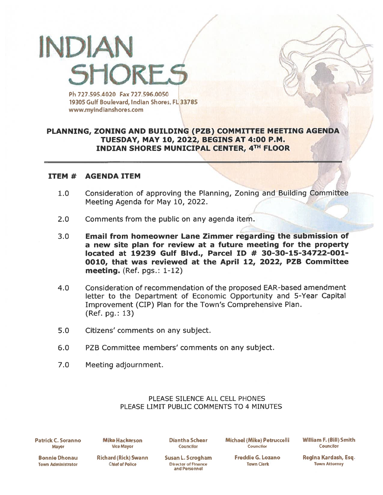## INPIAN **SHORF** Ph 727.595.4020 Fax727.596.0050

19305 Gulf Boulevard, Indian Shores, FL 33785 www.myindianshores.com

### PLANNING, ZONING AND BUILDING (PZB) COMMITTEE MEETING AGENDA TUESDAY, MAY 10, 2022, BEGINS AT 4:00 P.M. INDIAN SHORES MUNICIPAL CENTER, 4TH FLOOR

7

#### ITEM # AGENDA ITEM

- 1.0 Consideration of approving the Planning, Zoning and Building Committee Meeting Agenda for May 10, 2022.
- 2.0 Comments from the public on any agenda item.
- 3.0 Email from homeowner Lane Zimmer regarding the submission of <sup>a</sup> new site plan for review at <sup>a</sup> future meeting for the property located at 19239 Gulf Blvd., Parcel ID # 30-30-15-34722-001-0010, that was reviewed at the April 12, 2022, PZB Committee meeting. (Ref. pgs.: 1-12)
- 4.0 Consideration of recommendation of the proposed EAR-based amendment letter to the Department of Economic Opportunity and 5-Year Capital Improvement (CIP) Plan for the Town's Comprehensive Plan. (Ref. pg.: 13)
- 5.0 Citizens' comments on any subject.
- 6.0 PZB Committee members' comments on any subject.
- 7.0 Meeting adjournment.

#### PLEASE SILENCE ALL CELL PHONES PLEASE LIMIT PUBLIC COMMENTS TO 4 MINUTES

Patrick C. Soranno Mayor

Mike Hackerson **Vice Mayor** 

Diantha Schear Councilor

Michael (Mike) Petruccelli **Councilor** 

William F. (Bill) Smith **Councilor** 

Regina Kardash, Esq. Town Attorney

Bonnie Dhonau **Town Administrator** Richard (Rick) Swann **Chief of Police** 

Susan L. Scrogham **Director of Finance** and Personnel

Freddie G, Lozano Town Clerk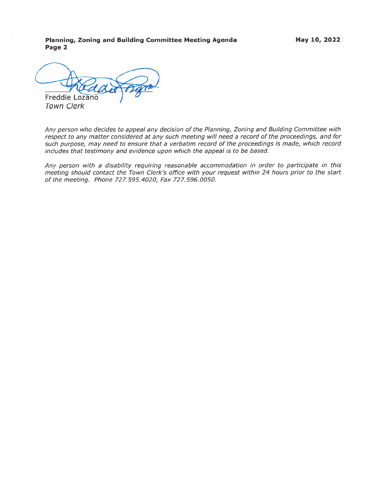Planning, Zoning and Building Committee Meeting Agenda Page 2

May 10, 2022

Freddie Lozano

Town Clerk

Any person who decides to appeal any decision of the Planning, Zoning and Building Committee with respec<sup>t</sup> to any matter considered at any such meeting will need <sup>a</sup> record of the proceedings, and for such purpose, may need to ensure that <sup>a</sup> verbatim record of the proceedings is made, which record includes that testimony and evidence upon which the appeal is to be based.

Any person with <sup>a</sup> disability requiring reasonable accommodation in order to participate in this meeting should contact the Town Clerk's office with your reques<sup>t</sup> within 24 hours prior to the start of the meeting. Phone 727.595.4020, Fax 727.596.0050.